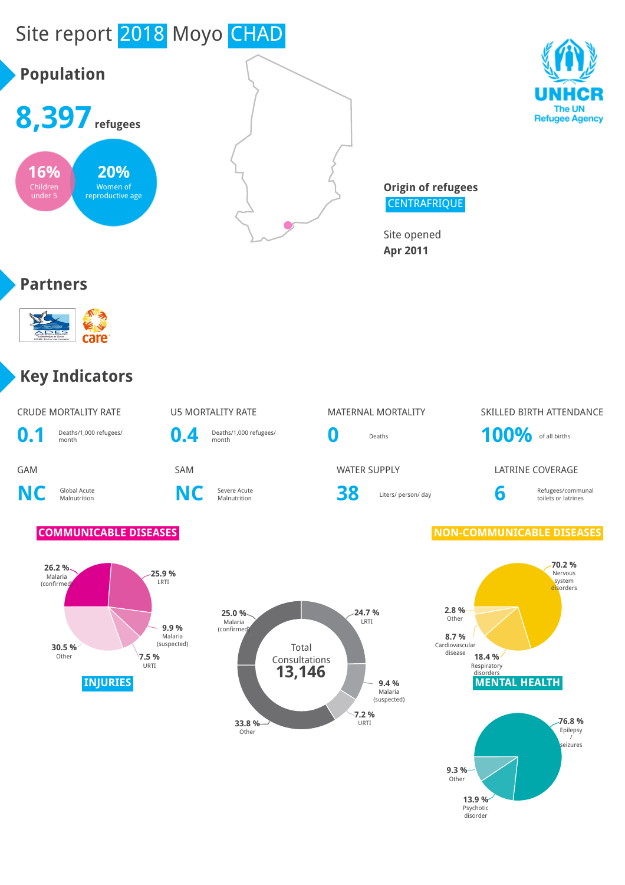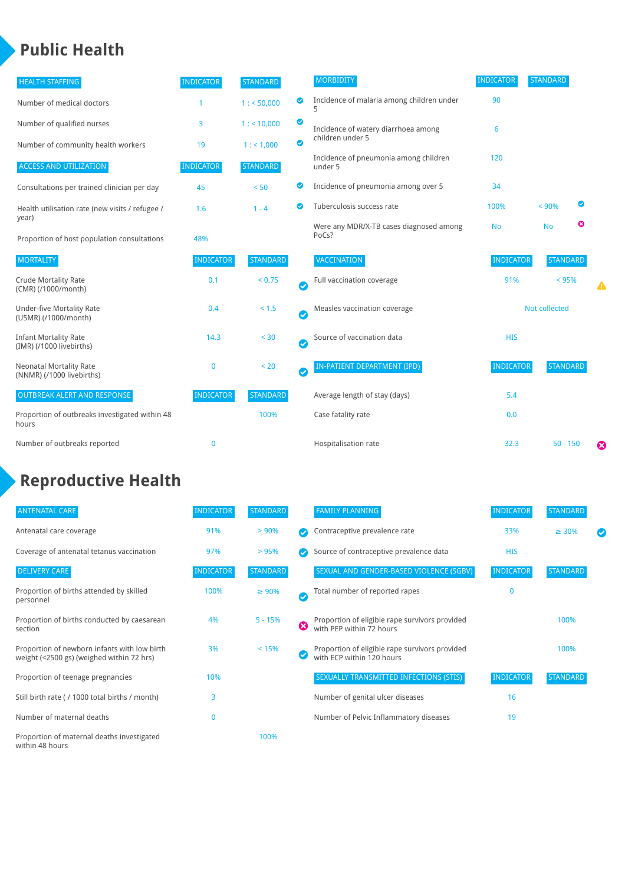### **Public Health**

| <b>HEALTH STAFFING</b>                                      | <b>INDICATOR</b> | <b>STANDARD</b> |           | <b>MORBIDITY</b>                                 | <b>INDICATOR</b> | <b>STANDARD</b> |   |   |
|-------------------------------------------------------------|------------------|-----------------|-----------|--------------------------------------------------|------------------|-----------------|---|---|
| Number of medical doctors                                   |                  | 1: 50,000       | ◙         | Incidence of malaria among children under        | 90               |                 |   |   |
| Number of qualified nurses                                  | 3                | 1:10,000        | ◙         | Incidence of watery diarrhoea among              | 6                |                 |   |   |
| Number of community health workers                          | 19               | 1: 1,000        | ◙         | children under 5                                 |                  |                 |   |   |
| <b>ACCESS AND UTILIZATION</b>                               | <b>INDICATOR</b> | <b>STANDARD</b> |           | Incidence of pneumonia among children<br>under 5 | 120              |                 |   |   |
| Consultations per trained clinician per day                 | 45               | < 50            | Ø         | Incidence of pneumonia among over 5              | 34               |                 |   |   |
| Health utilisation rate (new visits / refugee /             | 1.6              | $1 - 4$         | ◙         | Tuberculosis success rate                        | 100%             | < 90%           | ◙ |   |
| year)<br>Proportion of host population consultations        | 48%              |                 |           | Were any MDR/X-TB cases diagnosed among<br>PoCs? | <b>No</b>        | <b>No</b>       | ☺ |   |
| <b>MORTALITY</b>                                            | <b>INDICATOR</b> | <b>STANDARD</b> |           | <b>VACCINATION</b>                               | <b>INDICATOR</b> | <b>STANDARD</b> |   |   |
| <b>Crude Mortality Rate</b><br>(CMR) (/1000/month)          | 0.1              | < 0.75          | $\bullet$ | Full vaccination coverage                        | 91%              | $< 95\%$        |   |   |
| <b>Under-five Mortality Rate</b><br>(U5MR) (/1000/month)    | 0.4              | < 1.5           | Ø         | Measles vaccination coverage                     |                  | Not collected   |   |   |
| <b>Infant Mortality Rate</b><br>(IMR) (/1000 livebirths)    | 14.3             | < 30            | $\bullet$ | Source of vaccination data                       | <b>HIS</b>       |                 |   |   |
| <b>Neonatal Mortality Rate</b><br>(NNMR) (/1000 livebirths) | $\mathbf 0$      | < 20            | $\bullet$ | <b>IN-PATIENT DEPARTMENT (IPD)</b>               | <b>INDICATOR</b> | <b>STANDARD</b> |   |   |
| <b>OUTBREAK ALERT AND RESPONSE</b>                          | <b>INDICATOR</b> | <b>STANDARD</b> |           | Average length of stay (days)                    | 5.4              |                 |   |   |
| Proportion of outbreaks investigated within 48<br>hours     |                  | 100%            |           | Case fatality rate                               | 0.0              |                 |   |   |
| Number of outbreaks reported                                | $\mathbf 0$      |                 |           | Hospitalisation rate                             | 32.3             | $50 - 150$      |   | Ø |

# **Reproductive Health**

| <b>ANTENATAL CARE</b>                                                                     | <b>INDICATOR</b> | <b>STANDARD</b> |   | <b>FAMILY PLANNING</b>                                                      | <b>INDICATOR</b> | <b>STANDARD</b> |  |
|-------------------------------------------------------------------------------------------|------------------|-----------------|---|-----------------------------------------------------------------------------|------------------|-----------------|--|
| Antenatal care coverage                                                                   | 91%              | > 90%           |   | Contraceptive prevalence rate                                               | 33%              | $\geq 30\%$     |  |
| Coverage of antenatal tetanus vaccination                                                 | 97%              | >95%            |   | Source of contraceptive prevalence data                                     | <b>HIS</b>       |                 |  |
| <b>DELIVERY CARE</b>                                                                      | <b>INDICATOR</b> | <b>STANDARD</b> |   | SEXUAL AND GENDER-BASED VIOLENCE (SGBV)                                     | <b>INDICATOR</b> | <b>STANDARD</b> |  |
| Proportion of births attended by skilled<br>personnel                                     | 100%             | $\geq 90\%$     | Ø | Total number of reported rapes                                              | $\mathbf{0}$     |                 |  |
| Proportion of births conducted by caesarean<br>section                                    | 4%               | $5 - 15%$       | ☺ | Proportion of eligible rape survivors provided<br>with PEP within 72 hours  |                  | 100%            |  |
| Proportion of newborn infants with low birth<br>weight (<2500 gs) (weighed within 72 hrs) | 3%               | < 15%           |   | Proportion of eligible rape survivors provided<br>with ECP within 120 hours |                  | 100%            |  |
| Proportion of teenage pregnancies                                                         | 10%              |                 |   | SEXUALLY TRANSMITTED INFECTIONS (STIS)                                      | <b>INDICATOR</b> | <b>STANDARD</b> |  |
| Still birth rate (/1000 total births / month)                                             | 3                |                 |   | Number of genital ulcer diseases                                            | 16               |                 |  |
| Number of maternal deaths                                                                 | 0                |                 |   | Number of Pelvic Inflammatory diseases                                      | 19               |                 |  |
| Proportion of maternal deaths investigated<br>within 48 hours                             |                  | 100%            |   |                                                                             |                  |                 |  |